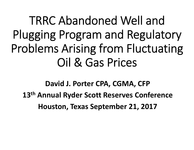TRRC Abandoned Well and Plugging Program and Regulatory Problems Arising from Fluctuating Oil & Gas Prices

**David J. Porter CPA, CGMA, CFP 13th Annual Ryder Scott Reserves Conference Houston, Texas September 21, 2017**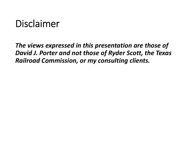## Disclaimer

*The views expressed in this presentation are those of David J. Porter and not those of Ryder Scott, the Texas Railroad Commission, or my consulting clients.*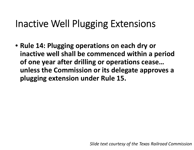## Inactive Well Plugging Extensions

• **Rule 14: Plugging operations on each dry or inactive well shall be commenced within <sup>a</sup> period of one year after drilling or operations cease… unless the Commission or its delegate approves <sup>a</sup> plugging extension under Rule 15.**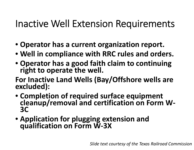## Inactive Well Extension Requirements

- **Operator has <sup>a</sup> current organization report.**
- **Well in compliance with RRC rules and orders.**
- **Operator has <sup>a</sup> good faith claim to continuing right to operate the well.**

**For Inactive Land Wells (Bay/Offshore wells are excluded):**

- Completion of required surface equipment **cleanup/removal** and certification on Form W-**3C**
- **Application for plugging extension and qualification on Form <sup>W</sup>‐3X**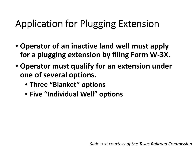## Application for Plugging Extension

- **Operator of an inactive land well must apply for a plugging extension by filing Form W‐3X.**
- **Operator must qualify for an extension under one of several options.**
	- **Three "Blanket" options**
	- **Five "Individual Well" options**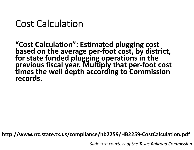### Cost Calculation

**"Cost Calculation": Estimated**"Cost Calculation": Estimated plugging cost<br>based on the average per-foot cost. by disti **on the average per‐foot cost, by district, for state funded plugging operations in the previous fiscal year. Multiply that per‐foot cost times the well depth according to Commission records.**

**http://www.rrc.state.tx.us/compliance/hb2259/HB2259‐CostCalculation.pdf**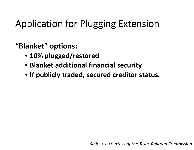# Application for Plugging Extension

**"Blanket" options:**

- **10% plugged/restored**
- **Blanket additional financial security**
- **If publicly traded, secured creditor status.**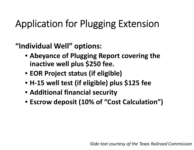# Application for Plugging Extension

**"Individual Well" options:**

- **Abeyance of Plugging Report covering the inactive well plus \$250 fee.**
- **EOR Project status (if eligible)**
- **H‐15 well test (if eligible) plus \$125 fee**
- **Additional financial security**
- **Escrow deposit (10% of "Cost Calculation")**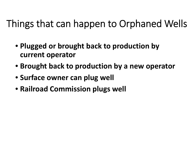## Things that can happen to Orphaned Wells

- **Plugged or brought back to production by current operator**
- **Brought back to production by <sup>a</sup> new operator**
- **Surface owner can plug well**
- **Railroad Commission plugs well**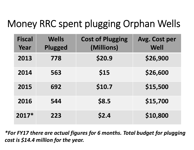# Money RRC spent plugging Orphan Wells

| <b>Fiscal</b><br>Year | <b>Wells</b><br>Plugged | <b>Cost of Plugging</b><br>(Millions) | Avg. Cost per<br>Well |
|-----------------------|-------------------------|---------------------------------------|-----------------------|
| 2013                  | 778                     | \$20.9                                | \$26,900              |
| 2014                  | 563                     | \$15                                  | \$26,600              |
| 2015                  | 692                     | \$10.7                                | \$15,500              |
| 2016                  | 544                     | \$8.5                                 | \$15,700              |
| 2017*                 | 223                     | \$2.4                                 | \$10,800              |

*\*For FY17 there are actual figures for 6 months. Total budget for plugging cost is \$14.4 million for the year.*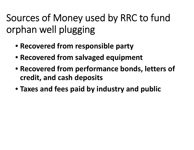Sources of Money used by RRC to fund orphan well plugging

- **Recovered from responsible party**
- **Recovered from salvaged equipment**
- **Recovered from performance bonds, letters of credit, and cash deposits**
- **Taxes and fees paid by industry and public**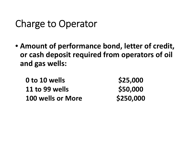## Charge to Operator

• **Amount of performance bond, letter of credit, or cash deposit required from operators of oil and gas wells:**

| 0 to 10 wells            | \$25,000  |
|--------------------------|-----------|
| 11 to 99 wells           | \$50,000  |
| <b>100 wells or More</b> | \$250,000 |